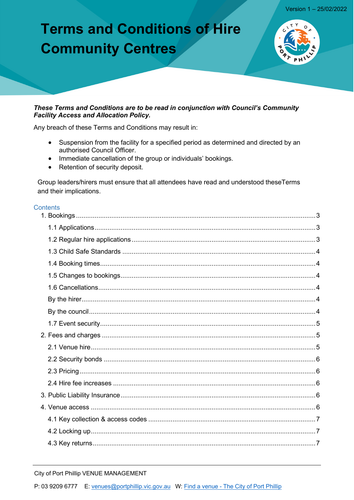# **Terms and Conditions of Hire Community Centres**



#### These Terms and Conditions are to be read in conjunction with Council's Community **Facility Access and Allocation Policy.**

Any breach of these Terms and Conditions may result in:

- Suspension from the facility for a specified period as determined and directed by an authorised Council Officer.
- Immediate cancellation of the group or individuals' bookings.
- Retention of security deposit.

Group leaders/hirers must ensure that all attendees have read and understood theseTerms and their implications.

#### Contents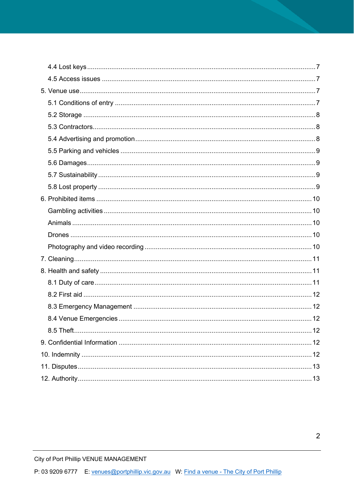<span id="page-1-0"></span>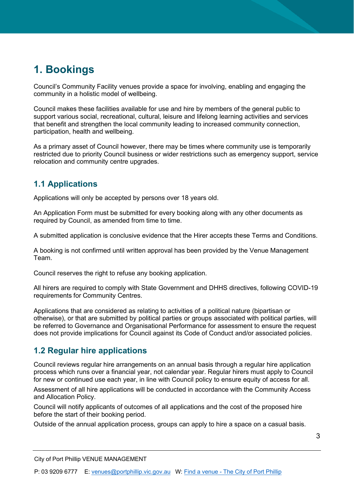# **1. Bookings**

Council's Community Facility venues provide a space for involving, enabling and engaging the community in a holistic model of wellbeing.

Council makes these facilities available for use and hire by members of the general public to support various social, recreational, cultural, leisure and lifelong learning activities and services that benefit and strengthen the local community leading to increased community connection, participation, health and wellbeing.

As a primary asset of Council however, there may be times where community use is temporarily restricted due to priority Council business or wider restrictions such as emergency support, service relocation and community centre upgrades.

### <span id="page-2-0"></span>**1.1 Applications**

Applications will only be accepted by persons over 18 years old.

An Application Form must be submitted for every booking along with any other documents as required by Council, as amended from time to time.

A submitted application is conclusive evidence that the Hirer accepts these Terms and Conditions.

A booking is not confirmed until written approval has been provided by the Venue Management Team.

Council reserves the right to refuse any booking application.

All hirers are required to comply with State Government and DHHS directives, following COVID-19 requirements for Community Centres.

Applications that are considered as relating to activities of a political nature (bipartisan or otherwise), or that are submitted by political parties or groups associated with political parties, will be referred to Governance and Organisational Performance for assessment to ensure the request does not provide implications for Council against its Code of Conduct and/or associated policies.

### <span id="page-2-1"></span>**1.2 Regular hire applications**

Council reviews regular hire arrangements on an annual basis through a regular hire application process which runs over a financial year, not calendar year. Regular hirers must apply to Council for new or continued use each year, in line with Council policy to ensure equity of access for all.

Assessment of all hire applications will be conducted in accordance with the Community Access and Allocation Policy.

Council will notify applicants of outcomes of all applications and the cost of the proposed hire before the start of their booking period.

Outside of the annual application process, groups can apply to hire a space on a casual basis.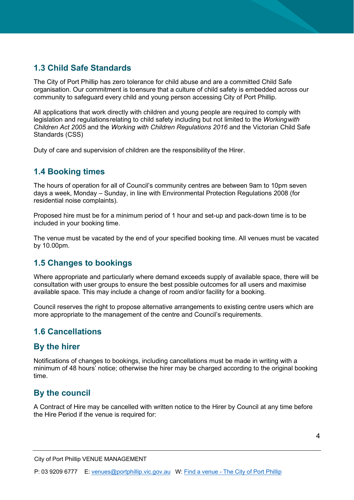### <span id="page-3-0"></span>**1.3 Child Safe Standards**

The City of Port Phillip has zero tolerance for child abuse and are a committed Child Safe organisation. Our commitment is toensure that a culture of child safety is embedded across our community to safeguard every child and young person accessing City of Port Phillip.

All applications that work directly with children and young people are required to comply with legislation and regulationsrelating to child safety including but not limited to the *Workingwith Children Act 2005* and the *Working with Children Regulations 2016* and the Victorian Child Safe Standards (CSS)

Duty of care and supervision of children are the responsibilityof the Hirer.

#### <span id="page-3-1"></span>**1.4 Booking times**

The hours of operation for all of Council's community centres are between 9am to 10pm seven days a week, Monday – Sunday, in line with Environmental Protection Regulations 2008 (for residential noise complaints).

Proposed hire must be for a minimum period of 1 hour and set-up and pack-down time is to be included in your booking time.

The venue must be vacated by the end of your specified booking time. All venues must be vacated by 10.00pm.

### <span id="page-3-2"></span>**1.5 Changes to bookings**

Where appropriate and particularly where demand exceeds supply of available space, there will be consultation with user groups to ensure the best possible outcomes for all users and maximise available space. This may include a change of room and/or facility for a booking.

Council reserves the right to propose alternative arrangements to existing centre users which are more appropriate to the management of the centre and Council's requirements.

### <span id="page-3-3"></span>**1.6 Cancellations**

#### <span id="page-3-4"></span>**By the hirer**

Notifications of changes to bookings, including cancellations must be made in writing with a minimum of 48 hours' notice; otherwise the hirer may be charged according to the original booking time.

### <span id="page-3-5"></span>**By the council**

A Contract of Hire may be cancelled with written notice to the Hirer by Council at any time before the Hire Period if the venue is required for: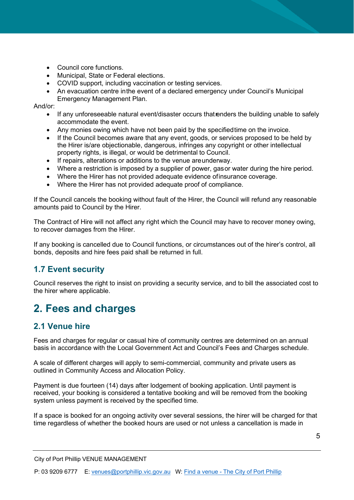- Council core functions.
- Municipal, State or Federal elections.
- COVID support, including vaccination or testing services.
- An evacuation centre inthe event of a declared emergency under Council's Municipal Emergency Management Plan.

And/or:

- If any unforeseeable natural event/disaster occurs that enders the building unable to safely accommodate the event.
- Any monies owing which have not been paid by the specifiedtime on the invoice.
- If the Council becomes aware that any event, goods, or services proposed to be held by the Hirer is/are objectionable, dangerous, infringes any copyright or other intellectual property rights, is illegal, or would be detrimental to Council.
- If repairs, alterations or additions to the venue areunderway.
- Where a restriction is imposed by a supplier of power, gasor water during the hire period.
- Where the Hirer has not provided adequate evidence ofinsurance coverage.
- Where the Hirer has not provided adequate proof of compliance.

If the Council cancels the booking without fault of the Hirer, the Council will refund any reasonable amounts paid to Council by the Hirer.

The Contract of Hire will not affect any right which the Council may have to recover money owing, to recover damages from the Hirer.

If any booking is cancelled due to Council functions, or circumstances out of the hirer's control, all bonds, deposits and hire fees paid shall be returned in full.

### <span id="page-4-0"></span>**1.7 Event security**

Council reserves the right to insist on providing a security service, and to bill the associated cost to the hirer where applicable.

### <span id="page-4-1"></span>**2. Fees and charges**

### <span id="page-4-2"></span>**2.1 Venue hire**

Fees and charges for regular or casual hire of community centres are determined on an annual basis in accordance with the Local Government Act and Council's Fees and Charges schedule.

A scale of different charges will apply to semi-commercial, community and private users as outlined in Community Access and Allocation Policy.

Payment is due fourteen (14) days after lodgement of booking application. Until payment is received, your booking is considered a tentative booking and will be removed from the booking system unless payment is received by the specified time.

If a space is booked for an ongoing activity over several sessions, the hirer will be charged for that time regardless of whether the booked hours are used or not unless a cancellation is made in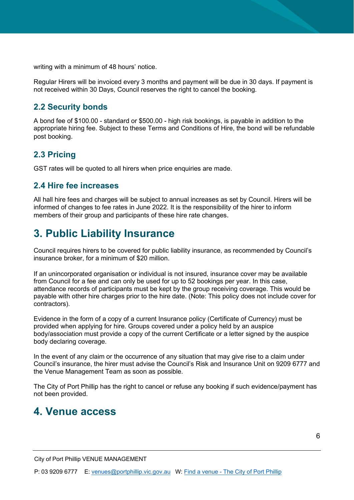writing with a minimum of 48 hours' notice.

Regular Hirers will be invoiced every 3 months and payment will be due in 30 days. If payment is not received within 30 Days, Council reserves the right to cancel the booking.

#### <span id="page-5-0"></span>**2.2 Security bonds**

A bond fee of \$100.00 - standard or \$500.00 - high risk bookings, is payable in addition to the appropriate hiring fee. Subject to these Terms and Conditions of Hire, the bond will be refundable post booking.

#### <span id="page-5-1"></span>**2.3 Pricing**

GST rates will be quoted to all hirers when price enquiries are made.

#### <span id="page-5-2"></span>**2.4 Hire fee increases**

All hall hire fees and charges will be subject to annual increases as set by Council. Hirers will be informed of changes to fee rates in June 2022. It is the responsibility of the hirer to inform members of their group and participants of these hire rate changes.

# <span id="page-5-3"></span>**3. Public Liability Insurance**

Council requires hirers to be covered for public liability insurance, as recommended by Council's insurance broker, for a minimum of \$20 million.

If an unincorporated organisation or individual is not insured, insurance cover may be available from Council for a fee and can only be used for up to 52 bookings per year. In this case, attendance records of participants must be kept by the group receiving coverage. This would be payable with other hire charges prior to the hire date. (Note: This policy does not include cover for contractors).

Evidence in the form of a copy of a current Insurance policy (Certificate of Currency) must be provided when applying for hire. Groups covered under a policy held by an auspice body/association must provide a copy of the current Certificate or a letter signed by the auspice body declaring coverage.

In the event of any claim or the occurrence of any situation that may give rise to a claim under Council's insurance, the hirer must advise the Council's Risk and Insurance Unit on 9209 6777 and the Venue Management Team as soon as possible.

The City of Port Phillip has the right to cancel or refuse any booking if such evidence/payment has not been provided.

### <span id="page-5-4"></span>**4. Venue access**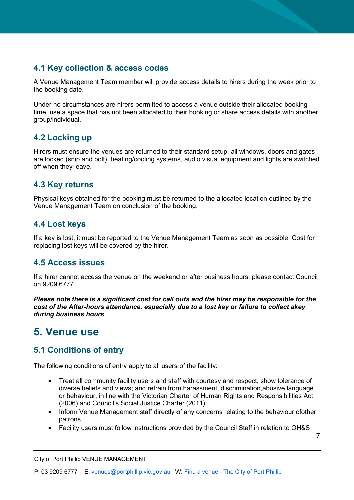### <span id="page-6-0"></span>**4.1 Key collection & access codes**

A Venue Management Team member will provide access details to hirers during the week prior to the booking date.

Under no circumstances are hirers permitted to access a venue outside their allocated booking time, use a space that has not been allocated to their booking or share access details with another group/individual.

### <span id="page-6-1"></span>**4.2 Locking up**

Hirers must ensure the venues are returned to their standard setup, all windows, doors and gates are locked (snip and bolt), heating/cooling systems, audio visual equipment and lights are switched off when they leave.

#### <span id="page-6-2"></span>**4.3 Key returns**

Physical keys obtained for the booking must be returned to the allocated location outlined by the Venue Management Team on conclusion of the booking.

#### <span id="page-6-3"></span>**4.4 Lost keys**

If a key is lost, it must be reported to the Venue Management Team as soon as possible. Cost for replacing lost keys will be covered by the hirer.

### <span id="page-6-4"></span>**4.5 Access issues**

If a hirer cannot access the venue on the weekend or after business hours, please contact Council on 9209 6777.

*Please note there is a significant cost for call outs and the hirer may be responsible for the cost of the After-hours attendance, especially due to a lost key or failure to collect akey during business hours.*

# <span id="page-6-5"></span>**5. Venue use**

### <span id="page-6-6"></span>**5.1 Conditions of entry**

The following conditions of entry apply to all users of the facility:

- Treat all community facility users and staff with courtesy and respect, show tolerance of diverse beliefs and views; and refrain from harassment, discrimination,abusive language or behaviour, in line with the Victorian Charter of Human Rights and Responsibilities Act (2006) and Council's Social Justice Charter (2011).
- Inform Venue Management staff directly of any concerns relating to the behaviour ofother patrons.
- Facility users must follow instructions provided by the Council Staff in relation to OH&S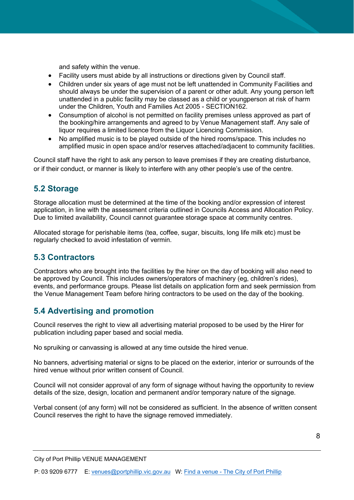and safety within the venue.

- Facility users must abide by all instructions or directions given by Council staff.
- Children under six years of age must not be left unattended in Community Facilities and should always be under the supervision of a parent or other adult. Any young person left unattended in a public facility may be classed as a child or youngperson at risk of harm under the Children, Youth and Families Act 2005 - SECTION162.
- Consumption of alcohol is not permitted on facility premises unless approved as part of the booking/hire arrangements and agreed to by Venue Management staff. Any sale of liquor requires a limited licence from the Liquor Licencing Commission.
- No amplified music is to be played outside of the hired rooms/space. This includes no amplified music in open space and/or reserves attached/adjacent to community facilities.

Council staff have the right to ask any person to leave premises if they are creating disturbance, or if their conduct, or manner is likely to interfere with any other people's use of the centre.

### <span id="page-7-0"></span>**5.2 Storage**

Storage allocation must be determined at the time of the booking and/or expression of interest application, in line with the assessment criteria outlined in Councils Access and Allocation Policy. Due to limited availability, Council cannot guarantee storage space at community centres.

Allocated storage for perishable items (tea, coffee, sugar, biscuits, long life milk etc) must be regularly checked to avoid infestation of vermin.

### <span id="page-7-1"></span>**5.3 Contractors**

Contractors who are brought into the facilities by the hirer on the day of booking will also need to be approved by Council. This includes owners/operators of machinery (eg, children's rides), events, and performance groups. Please list details on application form and seek permission from the Venue Management Team before hiring contractors to be used on the day of the booking.

### <span id="page-7-2"></span>**5.4 Advertising and promotion**

Council reserves the right to view all advertising material proposed to be used by the Hirer for publication including paper based and social media.

No spruiking or canvassing is allowed at any time outside the hired venue.

No banners, advertising material or signs to be placed on the exterior, interior or surrounds of the hired venue without prior written consent of Council.

Council will not consider approval of any form of signage without having the opportunity to review details of the size, design, location and permanent and/or temporary nature of the signage.

Verbal consent (of any form) will not be considered as sufficient. In the absence of written consent Council reserves the right to have the signage removed immediately.

City of Port Phillip VENUE MANAGEMENT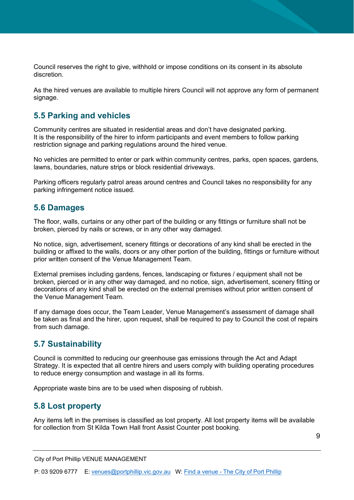Council reserves the right to give, withhold or impose conditions on its consent in its absolute discretion.

As the hired venues are available to multiple hirers Council will not approve any form of permanent signage.

#### <span id="page-8-0"></span>**5.5 Parking and vehicles**

Community centres are situated in residential areas and don't have designated parking. It is the responsibility of the hirer to inform participants and event members to follow parking restriction signage and parking regulations around the hired venue.

No vehicles are permitted to enter or park within community centres, parks, open spaces, gardens, lawns, boundaries, nature strips or block residential driveways.

Parking officers regularly patrol areas around centres and Council takes no responsibility for any parking infringement notice issued.

#### <span id="page-8-1"></span>**5.6 Damages**

The floor, walls, curtains or any other part of the building or any fittings or furniture shall not be broken, pierced by nails or screws, or in any other way damaged.

No notice, sign, advertisement, scenery fittings or decorations of any kind shall be erected in the building or affixed to the walls, doors or any other portion of the building, fittings or furniture without prior written consent of the Venue Management Team.

External premises including gardens, fences, landscaping or fixtures / equipment shall not be broken, pierced or in any other way damaged, and no notice, sign, advertisement, scenery fitting or decorations of any kind shall be erected on the external premises without prior written consent of the Venue Management Team.

If any damage does occur, the Team Leader, Venue Management's assessment of damage shall be taken as final and the hirer, upon request, shall be required to pay to Council the cost of repairs from such damage.

#### <span id="page-8-2"></span>**5.7 Sustainability**

Council is committed to reducing our greenhouse gas emissions through the Act and Adapt Strategy. It is expected that all centre hirers and users comply with building operating procedures to reduce energy consumption and wastage in all its forms.

Appropriate waste bins are to be used when disposing of rubbish.

#### <span id="page-8-3"></span>**5.8 Lost property**

Any items left in the premises is classified as lost property. All lost property items will be available for collection from St Kilda Town Hall front Assist Counter post booking.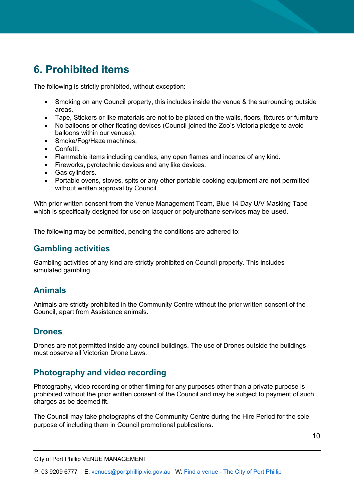# <span id="page-9-0"></span>**6. Prohibited items**

The following is strictly prohibited, without exception:

- Smoking on any Council property, this includes inside the venue & the surrounding outside areas.
- Tape, Stickers or like materials are not to be placed on the walls, floors, fixtures or furniture
- No balloons or other floating devices (Council joined the Zoo's Victoria pledge to avoid balloons within our venues).
- Smoke/Fog/Haze machines.
- Confetti.
- Flammable items including candles, any open flames and incence of any kind.
- Fireworks, pyrotechnic devices and any like devices.
- Gas cylinders.
- Portable ovens, stoves, spits or any other portable cooking equipment are **not** permitted without written approval by Council.

With prior written consent from the Venue Management Team, Blue 14 Day U/V Masking Tape which is specifically designed for use on lacquer or polyurethane services may be used.

The following may be permitted, pending the conditions are adhered to:

#### <span id="page-9-1"></span>**Gambling activities**

Gambling activities of any kind are strictly prohibited on Council property. This includes simulated gambling.

### <span id="page-9-2"></span>**Animals**

Animals are strictly prohibited in the Community Centre without the prior written consent of the Council, apart from Assistance animals.

#### <span id="page-9-3"></span>**Drones**

Drones are not permitted inside any council buildings. The use of Drones outside the buildings must observe all Victorian Drone Laws.

### <span id="page-9-4"></span>**Photography and video recording**

Photography, video recording or other filming for any purposes other than a private purpose is prohibited without the prior written consent of the Council and may be subject to payment of such charges as be deemed fit.

The Council may take photographs of the Community Centre during the Hire Period for the sole purpose of including them in Council promotional publications.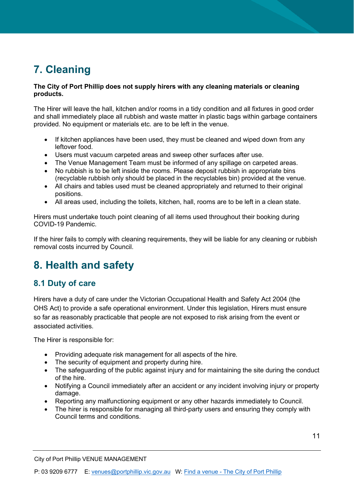# <span id="page-10-0"></span>**7. Cleaning**

#### **The City of Port Phillip does not supply hirers with any cleaning materials or cleaning products.**

The Hirer will leave the hall, kitchen and/or rooms in a tidy condition and all fixtures in good order and shall immediately place all rubbish and waste matter in plastic bags within garbage containers provided. No equipment or materials etc. are to be left in the venue.

- If kitchen appliances have been used, they must be cleaned and wiped down from any leftover food.
- Users must vacuum carpeted areas and sweep other surfaces after use.
- The Venue Management Team must be informed of any spillage on carpeted areas.
- No rubbish is to be left inside the rooms. Please deposit rubbish in appropriate bins (recyclable rubbish only should be placed in the recyclables bin) provided at the venue.
- All chairs and tables used must be cleaned appropriately and returned to their original positions.
- All areas used, including the toilets, kitchen, hall, rooms are to be left in a clean state.

Hirers must undertake touch point cleaning of all items used throughout their booking during COVID-19 Pandemic.

If the hirer fails to comply with cleaning requirements, they will be liable for any cleaning or rubbish removal costs incurred by Council.

# <span id="page-10-1"></span>**8. Health and safety**

### <span id="page-10-2"></span>**8.1 Duty of care**

Hirers have a duty of care under the Victorian Occupational Health and Safety Act 2004 (the OHS Act) to provide a safe operational environment. Under this legislation, Hirers must ensure so far as reasonably practicable that people are not exposed to risk arising from the event or associated activities.

The Hirer is responsible for:

- Providing adequate risk management for all aspects of the hire.
- The security of equipment and property during hire.
- The safeguarding of the public against injury and for maintaining the site during the conduct of the hire.
- Notifying a Council immediately after an accident or any incident involving injury or property damage.
- Reporting any malfunctioning equipment or any other hazards immediately to Council.
- The hirer is responsible for managing all third-party users and ensuring they comply with Council terms and conditions.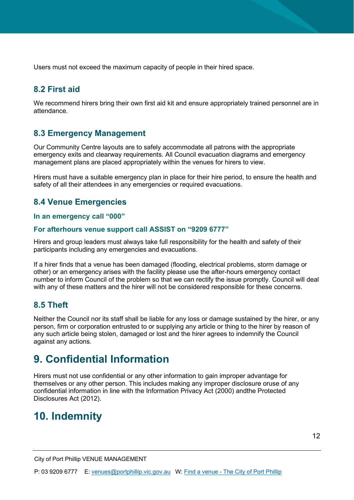Users must not exceed the maximum capacity of people in their hired space.

#### <span id="page-11-0"></span>**8.2 First aid**

We recommend hirers bring their own first aid kit and ensure appropriately trained personnel are in attendance.

#### <span id="page-11-1"></span>**8.3 Emergency Management**

Our Community Centre layouts are to safely accommodate all patrons with the appropriate emergency exits and clearway requirements. All Council evacuation diagrams and emergency management plans are placed appropriately within the venues for hirers to view.

Hirers must have a suitable emergency plan in place for their hire period, to ensure the health and safety of all their attendees in any emergencies or required evacuations.

#### <span id="page-11-2"></span>**8.4 Venue Emergencies**

#### **In an emergency call "000"**

#### **For afterhours venue support call ASSIST on "9209 6777"**

Hirers and group leaders must always take full responsibility for the health and safety of their participants including any emergencies and evacuations.

If a hirer finds that a venue has been damaged (flooding, electrical problems, storm damage or other) or an emergency arises with the facility please use the after-hours emergency contact number to inform Council of the problem so that we can rectify the issue promptly. Council will deal with any of these matters and the hirer will not be considered responsible for these concerns.

#### <span id="page-11-3"></span>**8.5 Theft**

Neither the Council nor its staff shall be liable for any loss or damage sustained by the hirer, or any person, firm or corporation entrusted to or supplying any article or thing to the hirer by reason of any such article being stolen, damaged or lost and the hirer agrees to indemnify the Council against any actions.

### <span id="page-11-4"></span>**9. Confidential Information**

Hirers must not use confidential or any other information to gain improper advantage for themselves or any other person. This includes making any improper disclosure oruse of any confidential information in line with the Information Privacy Act (2000) andthe Protected Disclosures Act (2012).

### <span id="page-11-5"></span>**10. Indemnity**